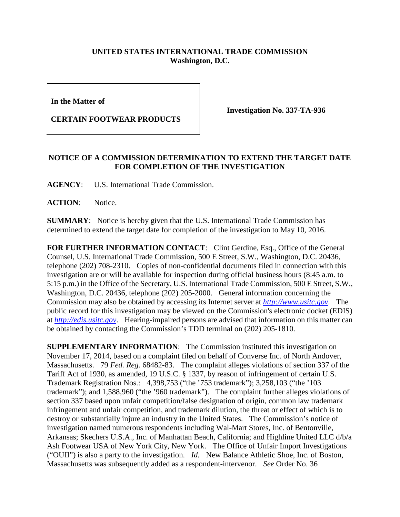## **UNITED STATES INTERNATIONAL TRADE COMMISSION Washington, D.C.**

**In the Matter of** 

**CERTAIN FOOTWEAR PRODUCTS**

**Investigation No. 337-TA-936**

## **NOTICE OF A COMMISSION DETERMINATION TO EXTEND THE TARGET DATE FOR COMPLETION OF THE INVESTIGATION**

**AGENCY**: U.S. International Trade Commission.

**ACTION**: Notice.

**SUMMARY**: Notice is hereby given that the U.S. International Trade Commission has determined to extend the target date for completion of the investigation to May 10, 2016.

FOR FURTHER INFORMATION CONTACT: Clint Gerdine, Esq., Office of the General Counsel, U.S. International Trade Commission, 500 E Street, S.W., Washington, D.C. 20436, telephone (202) 708-2310. Copies of non-confidential documents filed in connection with this investigation are or will be available for inspection during official business hours (8:45 a.m. to 5:15 p.m.) in the Office of the Secretary, U.S. International Trade Commission, 500 E Street, S.W., Washington, D.C. 20436, telephone (202) 205-2000. General information concerning the Commission may also be obtained by accessing its Internet server at *[http://www.usitc.gov](http://www.usitc.gov/)*. The public record for this investigation may be viewed on the Commission's electronic docket (EDIS) at *[http://edis.usitc.gov](http://edis.usitc.gov/)*. Hearing-impaired persons are advised that information on this matter can be obtained by contacting the Commission's TDD terminal on (202) 205-1810.

**SUPPLEMENTARY INFORMATION:** The Commission instituted this investigation on November 17, 2014, based on a complaint filed on behalf of Converse Inc. of North Andover, Massachusetts. 79 *Fed. Reg.* 68482-83. The complaint alleges violations of section 337 of the Tariff Act of 1930, as amended, 19 U.S.C. § 1337, by reason of infringement of certain U.S. Trademark Registration Nos.: 4,398,753 ("the '753 trademark"); 3,258,103 ("the '103 trademark"); and 1,588,960 ("the '960 trademark"). The complaint further alleges violations of section 337 based upon unfair competition/false designation of origin, common law trademark infringement and unfair competition, and trademark dilution, the threat or effect of which is to destroy or substantially injure an industry in the United States. The Commission's notice of investigation named numerous respondents including Wal-Mart Stores, Inc. of Bentonville, Arkansas; Skechers U.S.A., Inc. of Manhattan Beach, California; and Highline United LLC d/b/a Ash Footwear USA of New York City, New York. The Office of Unfair Import Investigations ("OUII") is also a party to the investigation. *Id.* New Balance Athletic Shoe, Inc. of Boston, Massachusetts was subsequently added as a respondent-intervenor. *See* Order No. 36